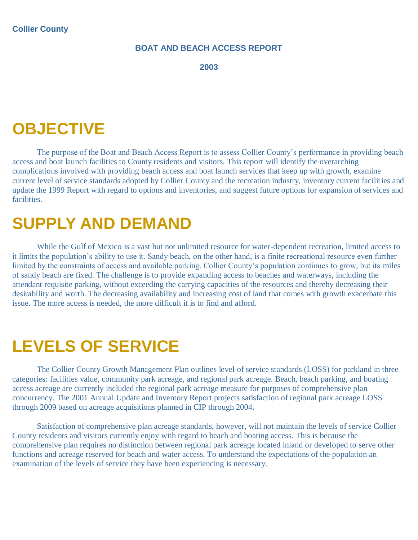#### **BOAT AND BEACH ACCESS REPORT**

**2003** 

### **OBJECTIVE**

The purpose of the Boat and Beach Access Report is to assess Collier County's performance in providing beach access and boat launch facilities to County residents and visitors. This report will identify the overarching complications involved with providing beach access and boat launch services that keep up with growth, examine current level of service standards adopted by Collier County and the recreation industry, inventory current facilities and update the 1999 Report with regard to options and inventories, and suggest future options for expansion of services and facilities.

## **SUPPLY AND DEMAND**

While the Gulf of Mexico is a vast but not unlimited resource for water-dependent recreation, limited access to it limits the population's ability to use it. Sandy beach, on the other hand, is a finite recreational resource even further limited by the constraints of access and available parking. Collier County's population continues to grow, but its miles of sandy beach are fixed. The challenge is to provide expanding access to beaches and waterways, including the attendant requisite parking, without exceeding the carrying capacities of the resources and thereby decreasing their desirability and worth. The decreasing availability and increasing cost of land that comes with growth exacerbate this issue. The more access is needed, the more difficult it is to find and afford.

### **LEVELS OF SERVICE**

The Collier County Growth Management Plan outlines level of service standards (LOSS) for parkland in three categories: facilities value, community park acreage, and regional park acreage. Beach, beach parking, and boating access acreage are currently included the regional park acreage measure for purposes of comprehensive plan concurrency. The 2001 Annual Update and Inventory Report projects satisfaction of regional park acreage LOSS through 2009 based on acreage acquisitions planned in CIP through 2004.

Satisfaction of comprehensive plan acreage standards, however, will not maintain the levels of service Collier County residents and visitors currently enjoy with regard to beach and boating access. This is because the comprehensive plan requires no distinction between regional park acreage located inland or developed to serve other functions and acreage reserved for beach and water access. To understand the expectations of the population an examination of the levels of service they have been experiencing is necessary.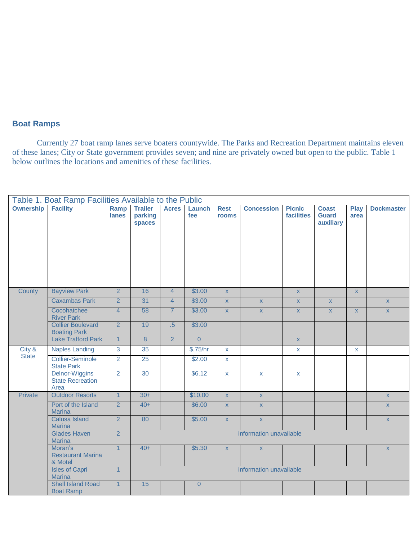#### **Boat Ramps**

Currently 27 boat ramp lanes serve boaters countywide. The Parks and Recreation Department maintains eleven of these lanes; City or State government provides seven; and nine are privately owned but open to the public. Table 1 below outlines the locations and amenities of these facilities.

| Table 1. Boat Ramp Facilities Available to the Public |                                                          |                |                                     |                |                |                         |                         |                                    |                                           |                     |                   |
|-------------------------------------------------------|----------------------------------------------------------|----------------|-------------------------------------|----------------|----------------|-------------------------|-------------------------|------------------------------------|-------------------------------------------|---------------------|-------------------|
| <b>Ownership</b>                                      | <b>Facility</b>                                          | Ramp<br>lanes  | <b>Trailer</b><br>parking<br>spaces | <b>Acres</b>   | Launch<br>fee  | <b>Rest</b><br>rooms    | <b>Concession</b>       | <b>Picnic</b><br><b>facilities</b> | <b>Coast</b><br><b>Guard</b><br>auxiliary | <b>Play</b><br>area | <b>Dockmaster</b> |
| County                                                | <b>Bayview Park</b>                                      | $\overline{2}$ | 16                                  | $\overline{4}$ | \$3.00         | $\overline{\mathsf{x}}$ |                         | $\bar{\mathbf{X}}$                 |                                           | $\mathsf{X}$        |                   |
|                                                       | <b>Caxambas Park</b>                                     | $\overline{2}$ | 31                                  | $\overline{4}$ | \$3.00         | $\mathsf X$             | $\mathsf X$             | $\mathbf X$                        | $\mathsf X$                               |                     | $\mathsf X$       |
|                                                       | Cocohatchee<br><b>River Park</b>                         | $\overline{4}$ | 58                                  | $\overline{7}$ | \$3.00         | $\bar{\mathbf{X}}$      | $\bar{\mathbf{X}}$      | $\mathsf{X}$                       | $\mathsf{X}$                              | $\mathsf X$         | $\mathsf X$       |
|                                                       | <b>Collier Boulevard</b><br><b>Boating Park</b>          | $\overline{2}$ | 19                                  | .5             | \$3.00         |                         |                         |                                    |                                           |                     |                   |
|                                                       | <b>Lake Trafford Park</b>                                | $\overline{1}$ | $\overline{8}$                      | $\overline{2}$ | $\overline{0}$ |                         |                         | $\bar{\mathbf{x}}$                 |                                           |                     |                   |
| City &                                                | <b>Naples Landing</b>                                    | $\mathbf{3}$   | 35                                  |                | \$.75/hr       | $\mathsf{X}$            |                         | $\mathsf X$                        |                                           | $\mathsf{X}$        |                   |
| <b>State</b>                                          | <b>Collier-Seminole</b><br><b>State Park</b>             | $\overline{2}$ | 25                                  |                | \$2.00         | $\mathbf{x}$            |                         |                                    |                                           |                     |                   |
|                                                       | <b>Delnor-Wiggins</b><br><b>State Recreation</b><br>Area | $\overline{2}$ | 30                                  |                | \$6.12         | $\mathsf X$             | $\mathsf{X}$            | $\mathsf{X}$                       |                                           |                     |                   |
| Private                                               | <b>Outdoor Resorts</b>                                   | $\overline{1}$ | $30+$                               |                | \$10.00        | $\bar{\mathbf{X}}$      | $\bar{\mathbf{X}}$      |                                    |                                           |                     | $\mathsf{X}$      |
|                                                       | Port of the Island<br><b>Marina</b>                      | $\overline{2}$ | $40+$                               |                | \$6.00         | $\mathsf X$             | $\mathsf{X}$            |                                    |                                           |                     | $\mathsf X$       |
|                                                       | <b>Calusa Island</b><br><b>Marina</b>                    | $\overline{2}$ | 80                                  |                | \$5.00         | $\overline{\mathsf{x}}$ | $\bar{\mathbf{X}}$      |                                    |                                           |                     | $\mathsf X$       |
|                                                       | <b>Glades Haven</b><br><b>Marina</b>                     | $\overline{2}$ | information unavailable             |                |                |                         |                         |                                    |                                           |                     |                   |
|                                                       | Moran's<br><b>Restaurant Marina</b><br>& Motel           | $\overline{1}$ | $40+$                               |                | \$5.30         | $\mathsf{X}$            | $\mathsf X$             |                                    |                                           |                     | $\mathsf X$       |
|                                                       | <b>Isles of Capri</b><br><b>Marina</b>                   | $\mathbf{1}$   |                                     |                |                |                         | information unavailable |                                    |                                           |                     |                   |
|                                                       | <b>Shell Island Road</b><br><b>Boat Ramp</b>             | $\mathbf{1}$   | 15                                  |                | $\overline{0}$ |                         |                         |                                    |                                           |                     |                   |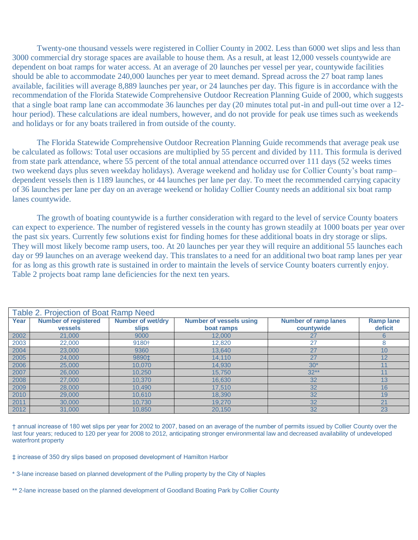Twenty-one thousand vessels were registered in Collier County in 2002. Less than 6000 wet slips and less than 3000 commercial dry storage spaces are available to house them. As a result, at least 12,000 vessels countywide are dependent on boat ramps for water access. At an average of 20 launches per vessel per year, countywide facilities should be able to accommodate 240,000 launches per year to meet demand. Spread across the 27 boat ramp lanes available, facilities will average 8,889 launches per year, or 24 launches per day. This figure is in accordance with the recommendation of the Florida Statewide Comprehensive Outdoor Recreation Planning Guide of 2000, which suggests that a single boat ramp lane can accommodate 36 launches per day (20 minutes total put-in and pull-out time over a 12 hour period). These calculations are ideal numbers, however, and do not provide for peak use times such as weekends and holidays or for any boats trailered in from outside of the county.

The Florida Statewide Comprehensive Outdoor Recreation Planning Guide recommends that average peak use be calculated as follows: Total user occasions are multiplied by 55 percent and divided by 111. This formula is derived from state park attendance, where 55 percent of the total annual attendance occurred over 111 days (52 weeks times two weekend days plus seven weekday holidays). Average weekend and holiday use for Collier County's boat ramp– dependent vessels then is 1189 launches, or 44 launches per lane per day. To meet the recommended carrying capacity of 36 launches per lane per day on an average weekend or holiday Collier County needs an additional six boat ramp lanes countywide.

The growth of boating countywide is a further consideration with regard to the level of service County boaters can expect to experience. The number of registered vessels in the county has grown steadily at 1000 boats per year over the past six years. Currently few solutions exist for finding homes for these additional boats in dry storage or slips. They will most likely become ramp users, too. At 20 launches per year they will require an additional 55 launches each day or 99 launches on an average weekend day. This translates to a need for an additional two boat ramp lanes per year for as long as this growth rate is sustained in order to maintain the levels of service County boaters currently enjoy. Table 2 projects boat ramp lane deficiencies for the next ten years.

|      | Table 2. Projection of Boat Ramp Need |                          |                                |                             |                 |  |  |
|------|---------------------------------------|--------------------------|--------------------------------|-----------------------------|-----------------|--|--|
| Year | <b>Number of registered</b>           | <b>Number of wet/dry</b> | <b>Number of vessels using</b> | <b>Number of ramp lanes</b> | <b>Ramplane</b> |  |  |
|      | <b>vessels</b>                        | <b>slips</b>             | boat ramps                     | countywide                  | deficit         |  |  |
| 2002 | 21,000                                | 9000                     | 12,000                         | 27                          | 6               |  |  |
| 2003 | 22,000                                | 9180+                    | 12,820                         | 27                          | 8               |  |  |
| 2004 | 23,000                                | 9360                     | 13,640                         | 27                          | 10              |  |  |
| 2005 | 24,000                                | 9890‡                    | 14,110                         | 27                          | 12              |  |  |
| 2006 | 25,000                                | 10.070                   | 14,930                         | $30*$                       | 11              |  |  |
| 2007 | 26,000                                | 10,250                   | 15,750                         | $32**$                      | 11              |  |  |
| 2008 | 27,000                                | 10.370                   | 16,630                         | 32                          | 13              |  |  |
| 2009 | 28,000                                | 10.490                   | 17,510                         | 32                          | 16              |  |  |
| 2010 | 29,000                                | 10.610                   | 18,390                         | 32                          | 19              |  |  |
| 2011 | 30,000                                | 10,730                   | 19,270                         | 32                          | 21              |  |  |
| 2012 | 31,000                                | 10.850                   | 20.150                         | 32                          | 23              |  |  |

† annual increase of 180 wet slips per year for 2002 to 2007, based on an average of the number of permits issued by Collier County over the last four years; reduced to 120 per year for 2008 to 2012, anticipating stronger environmental law and decreased availability of undeveloped waterfront property

‡ increase of 350 dry slips based on proposed development of Hamilton Harbor

- \* 3-lane increase based on planned development of the Pulling property by the City of Naples
- \*\* 2-lane increase based on the planned development of Goodland Boating Park by Collier County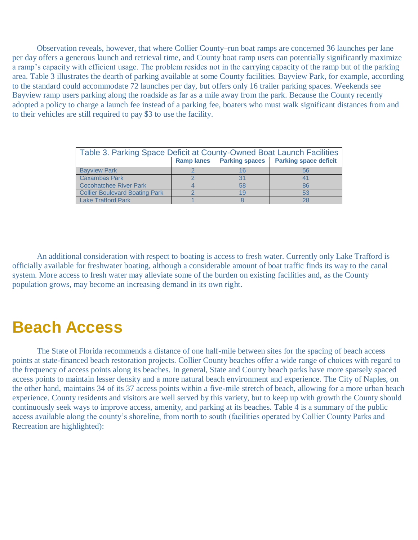Observation reveals, however, that where Collier County–run boat ramps are concerned 36 launches per lane per day offers a generous launch and retrieval time, and County boat ramp users can potentially significantly maximize a ramp's capacity with efficient usage. The problem resides not in the carrying capacity of the ramp but of the parking area. Table 3 illustrates the dearth of parking available at some County facilities. Bayview Park, for example, according to the standard could accommodate 72 launches per day, but offers only 16 trailer parking spaces. Weekends see Bayview ramp users parking along the roadside as far as a mile away from the park. Because the County recently adopted a policy to charge a launch fee instead of a parking fee, boaters who must walk significant distances from and to their vehicles are still required to pay \$3 to use the facility.

| Table 3. Parking Space Deficit at County-Owned Boat Launch Facilities |                   |                       |                              |  |  |
|-----------------------------------------------------------------------|-------------------|-----------------------|------------------------------|--|--|
|                                                                       | <b>Ramp lanes</b> | <b>Parking spaces</b> | <b>Parking space deficit</b> |  |  |
| <b>Bavview Park</b>                                                   |                   |                       | 56                           |  |  |
| <b>Caxambas Park</b>                                                  |                   |                       |                              |  |  |
| <b>Cocohatchee River Park</b>                                         |                   | 58                    | 86                           |  |  |
| <b>Collier Boulevard Boating Park</b>                                 |                   | 1 C                   | 53                           |  |  |
| <b>Lake Trafford Park</b>                                             |                   |                       | 28                           |  |  |

An additional consideration with respect to boating is access to fresh water. Currently only Lake Trafford is officially available for freshwater boating, although a considerable amount of boat traffic finds its way to the canal system. More access to fresh water may alleviate some of the burden on existing facilities and, as the County population grows, may become an increasing demand in its own right.

### **Beach Access**

The State of Florida recommends a distance of one half-mile between sites for the spacing of beach access points at state-financed beach restoration projects. Collier County beaches offer a wide range of choices with regard to the frequency of access points along its beaches. In general, State and County beach parks have more sparsely spaced access points to maintain lesser density and a more natural beach environment and experience. The City of Naples, on the other hand, maintains 34 of its 37 access points within a five-mile stretch of beach, allowing for a more urban beach experience. County residents and visitors are well served by this variety, but to keep up with growth the County should continuously seek ways to improve access, amenity, and parking at its beaches. Table 4 is a summary of the public access available along the county's shoreline, from north to south (facilities operated by Collier County Parks and Recreation are highlighted):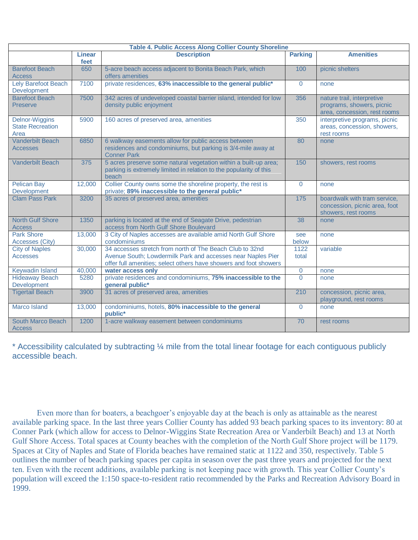| <b>Table 4. Public Access Along Collier County Shoreline</b> |                |                                                                                                                                                                                              |                |                                                                                         |  |
|--------------------------------------------------------------|----------------|----------------------------------------------------------------------------------------------------------------------------------------------------------------------------------------------|----------------|-----------------------------------------------------------------------------------------|--|
|                                                              | Linear<br>feet | <b>Description</b>                                                                                                                                                                           | <b>Parking</b> | <b>Amenities</b>                                                                        |  |
| <b>Barefoot Beach</b><br><b>Access</b>                       | 650            | 5-acre beach access adjacent to Bonita Beach Park, which<br>offers amenities                                                                                                                 | 100            | picnic shelters                                                                         |  |
| Lely Barefoot Beach<br>Development                           | 7100           | private residences, 63% inaccessible to the general public*                                                                                                                                  | $\Omega$       | none                                                                                    |  |
| <b>Barefoot Beach</b><br><b>Preserve</b>                     | 7500           | 342 acres of undeveloped coastal barrier island, intended for low<br>density public enjoyment                                                                                                | 356            | nature trail, interpretive<br>programs, showers, picnic<br>area, concession, rest rooms |  |
| <b>Delnor-Wiggins</b><br><b>State Recreation</b><br>Area     | 5900           | 160 acres of preserved area, amenities                                                                                                                                                       | 350            | interpretive programs, picnic<br>areas, concession, showers,<br>rest rooms              |  |
| <b>Vanderbilt Beach</b><br><b>Accesses</b>                   | 6850           | 6 walkway easements allow for public access between<br>residences and condominiums, but parking is 3/4-mile away at<br><b>Conner Park</b>                                                    | 80             | none                                                                                    |  |
| <b>Vanderbilt Beach</b>                                      | 375            | 5 acres preserve some natural vegetation within a built-up area;<br>parking is extremely limited in relation to the popularity of this<br>beach                                              | 150            | showers, rest rooms                                                                     |  |
| <b>Pelican Bay</b><br>Development                            | 12,000         | Collier County owns some the shoreline property, the rest is<br>private; 89% inaccessible to the general public*                                                                             | $\overline{0}$ | none                                                                                    |  |
| <b>Clam Pass Park</b>                                        | 3200           | 35 acres of preserved area, amenities                                                                                                                                                        | 175            | boardwalk with tram service,<br>concession, picnic area, foot<br>showers, rest rooms    |  |
| <b>North Gulf Shore</b><br><b>Access</b>                     | 1350           | parking is located at the end of Seagate Drive, pedestrian<br>access from North Gulf Shore Boulevard                                                                                         | 38             | none                                                                                    |  |
| <b>Park Shore</b><br>Accesses (City)                         | 13,000         | 3 City of Naples accesses are available amid North Gulf Shore<br>condominiums                                                                                                                | see<br>below   | none                                                                                    |  |
| <b>City of Naples</b><br><b>Accesses</b>                     | 30,000         | 34 accesses stretch from north of The Beach Club to 32nd<br>Avenue South; Lowdermilk Park and accesses near Naples Pier<br>offer full amenities; select others have showers and foot showers | 1122<br>total  | variable                                                                                |  |
| Keywadin Island                                              | 40,000         | water access only                                                                                                                                                                            | 0              | none                                                                                    |  |
| <b>Hideaway Beach</b><br>Development                         | 5280           | private residences and condominiums, 75% inaccessible to the<br>general public*                                                                                                              | $\Omega$       | none                                                                                    |  |
| <b>Tigertail Beach</b>                                       | 3900           | 31 acres of preserved area, amenities                                                                                                                                                        | 210            | concession, picnic area,<br>playground, rest rooms                                      |  |
| <b>Marco Island</b>                                          | 13,000         | condominiums, hotels, 80% inaccessible to the general<br>public*                                                                                                                             | $\Omega$       | none                                                                                    |  |
| <b>South Marco Beach</b><br><b>Access</b>                    | 1200           | 1-acre walkway easement between condominiums                                                                                                                                                 | 70             | rest rooms                                                                              |  |

\* Accessibility calculated by subtracting ¼ mile from the total linear footage for each contiguous publicly accessible beach.

Even more than for boaters, a beachgoer's enjoyable day at the beach is only as attainable as the nearest available parking space. In the last three years Collier County has added 93 beach parking spaces to its inventory: 80 at Conner Park (which allow for access to Delnor-Wiggins State Recreation Area or Vanderbilt Beach) and 13 at North Gulf Shore Access. Total spaces at County beaches with the completion of the North Gulf Shore project will be 1179. Spaces at City of Naples and State of Florida beaches have remained static at 1122 and 350, respectively. Table 5 outlines the number of beach parking spaces per capita in season over the past three years and projected for the next ten. Even with the recent additions, available parking is not keeping pace with growth. This year Collier County's population will exceed the 1:150 space-to-resident ratio recommended by the Parks and Recreation Advisory Board in 1999.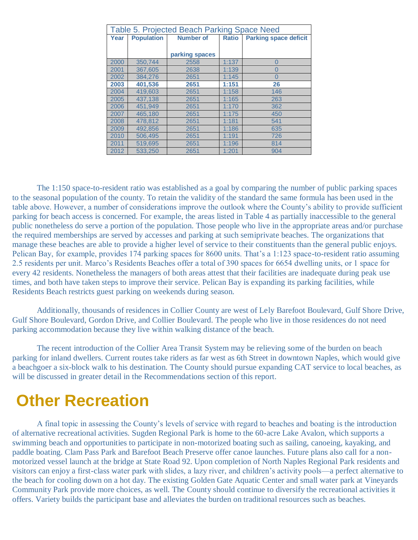| Table 5. Projected Beach Parking Space Need |                   |                  |              |                              |  |  |
|---------------------------------------------|-------------------|------------------|--------------|------------------------------|--|--|
| Year                                        | <b>Population</b> | <b>Number of</b> | <b>Ratio</b> | <b>Parking space deficit</b> |  |  |
|                                             |                   |                  |              |                              |  |  |
|                                             |                   | parking spaces   |              |                              |  |  |
| 2000                                        | 350.744           | 2558             | 1:137        | $\overline{0}$               |  |  |
| 2001                                        | 367,605           | 2638             | 1:139        | $\overline{0}$               |  |  |
| 2002                                        | 384,276           | 2651             | 1:145        | $\Omega$                     |  |  |
| 2003                                        | 401,536           | 2651             | 1:151        | 26                           |  |  |
| 2004                                        | 419.603           | 2651             | 1:158        | 146                          |  |  |
| 2005                                        | 437.138           | 2651             | 1:165        | 263                          |  |  |
| 2006                                        | 451.949           | 2651             | 1:170        | 362                          |  |  |
| 2007                                        | 465.180           | 2651             | 1:175        | 450                          |  |  |
| 2008                                        | 478,812           | 2651             | 1:181        | 541                          |  |  |
| 2009                                        | 492,856           | 2651             | 1:186        | 635                          |  |  |
| 2010                                        | 506,495           | 2651             | 1:191        | 726                          |  |  |
| 2011                                        | 519.695           | 2651             | 1:196        | 814                          |  |  |
| 2012                                        | 533,250           | 2651             | 1:201        | 904                          |  |  |

The 1:150 space-to-resident ratio was established as a goal by comparing the number of public parking spaces to the seasonal population of the county. To retain the validity of the standard the same formula has been used in the table above. However, a number of considerations improve the outlook where the County's ability to provide sufficient parking for beach access is concerned. For example, the areas listed in Table 4 as partially inaccessible to the general public nonetheless do serve a portion of the population. Those people who live in the appropriate areas and/or purchase the required memberships are served by accesses and parking at such semiprivate beaches. The organizations that manage these beaches are able to provide a higher level of service to their constituents than the general public enjoys. Pelican Bay, for example, provides 174 parking spaces for 8600 units. That's a 1:123 space-to-resident ratio assuming 2.5 residents per unit. Marco's Residents Beaches offer a total of 390 spaces for 6654 dwelling units, or 1 space for every 42 residents. Nonetheless the managers of both areas attest that their facilities are inadequate during peak use times, and both have taken steps to improve their service. Pelican Bay is expanding its parking facilities, while Residents Beach restricts guest parking on weekends during season.

Additionally, thousands of residences in Collier County are west of Lely Barefoot Boulevard, Gulf Shore Drive, Gulf Shore Boulevard, Gordon Drive, and Collier Boulevard. The people who live in those residences do not need parking accommodation because they live within walking distance of the beach.

The recent introduction of the Collier Area Transit System may be relieving some of the burden on beach parking for inland dwellers. Current routes take riders as far west as 6th Street in downtown Naples, which would give a beachgoer a six-block walk to his destination. The County should pursue expanding CAT service to local beaches, as will be discussed in greater detail in the Recommendations section of this report.

### **Other Recreation**

A final topic in assessing the County's levels of service with regard to beaches and boating is the introduction of alternative recreational activities. Sugden Regional Park is home to the 60-acre Lake Avalon, which supports a swimming beach and opportunities to participate in non-motorized boating such as sailing, canoeing, kayaking, and paddle boating. Clam Pass Park and Barefoot Beach Preserve offer canoe launches. Future plans also call for a nonmotorized vessel launch at the bridge at State Road 92. Upon completion of North Naples Regional Park residents and visitors can enjoy a first-class water park with slides, a lazy river, and children's activity pools—a perfect alternative to the beach for cooling down on a hot day. The existing Golden Gate Aquatic Center and small water park at Vineyards Community Park provide more choices, as well. The County should continue to diversify the recreational activities it offers. Variety builds the participant base and alleviates the burden on traditional resources such as beaches.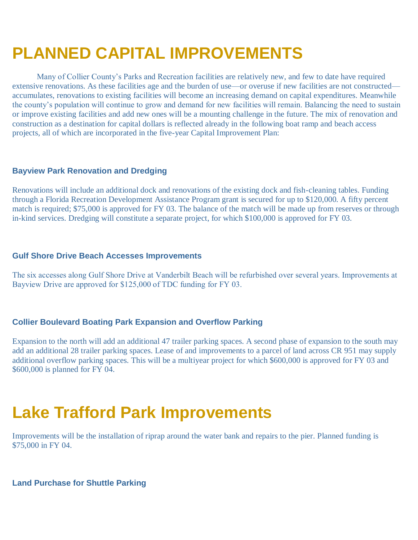# **PLANNED CAPITAL IMPROVEMENTS**

Many of Collier County's Parks and Recreation facilities are relatively new, and few to date have required extensive renovations. As these facilities age and the burden of use—or overuse if new facilities are not constructed accumulates, renovations to existing facilities will become an increasing demand on capital expenditures. Meanwhile the county's population will continue to grow and demand for new facilities will remain. Balancing the need to sustain or improve existing facilities and add new ones will be a mounting challenge in the future. The mix of renovation and construction as a destination for capital dollars is reflected already in the following boat ramp and beach access projects, all of which are incorporated in the five-year Capital Improvement Plan:

#### **Bayview Park Renovation and Dredging**

Renovations will include an additional dock and renovations of the existing dock and fish-cleaning tables. Funding through a Florida Recreation Development Assistance Program grant is secured for up to \$120,000. A fifty percent match is required; \$75,000 is approved for FY 03. The balance of the match will be made up from reserves or through in-kind services. Dredging will constitute a separate project, for which \$100,000 is approved for FY 03.

#### **Gulf Shore Drive Beach Accesses Improvements**

The six accesses along Gulf Shore Drive at Vanderbilt Beach will be refurbished over several years. Improvements at Bayview Drive are approved for \$125,000 of TDC funding for FY 03.

#### **Collier Boulevard Boating Park Expansion and Overflow Parking**

Expansion to the north will add an additional 47 trailer parking spaces. A second phase of expansion to the south may add an additional 28 trailer parking spaces. Lease of and improvements to a parcel of land across CR 951 may supply additional overflow parking spaces. This will be a multiyear project for which \$600,000 is approved for FY 03 and \$600,000 is planned for FY 04.

### **Lake Trafford Park Improvements**

Improvements will be the installation of riprap around the water bank and repairs to the pier. Planned funding is \$75,000 in FY 04.

**Land Purchase for Shuttle Parking**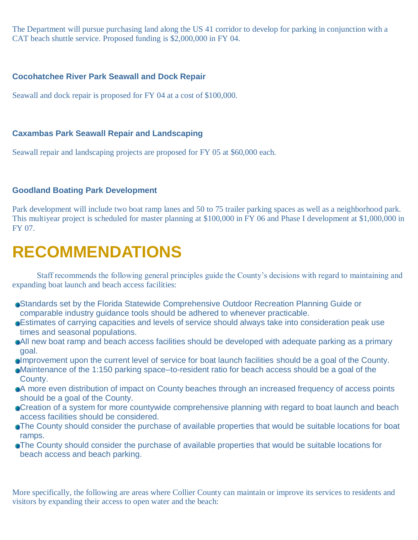The Department will pursue purchasing land along the US 41 corridor to develop for parking in conjunction with a CAT beach shuttle service. Proposed funding is \$2,000,000 in FY 04.

#### **Cocohatchee River Park Seawall and Dock Repair**

Seawall and dock repair is proposed for FY 04 at a cost of \$100,000.

### **Caxambas Park Seawall Repair and Landscaping**

Seawall repair and landscaping projects are proposed for FY 05 at \$60,000 each.

### **Goodland Boating Park Development**

Park development will include two boat ramp lanes and 50 to 75 trailer parking spaces as well as a neighborhood park. This multiyear project is scheduled for master planning at \$100,000 in FY 06 and Phase I development at \$1,000,000 in FY 07.

## **RECOMMENDATIONS**

Staff recommends the following general principles guide the County's decisions with regard to maintaining and expanding boat launch and beach access facilities:

- Standards set by the Florida Statewide Comprehensive Outdoor Recreation Planning Guide or comparable industry guidance tools should be adhered to whenever practicable.
- Estimates of carrying capacities and levels of service should always take into consideration peak use times and seasonal populations.
- All new boat ramp and beach access facilities should be developed with adequate parking as a primary goal.
- Improvement upon the current level of service for boat launch facilities should be a goal of the County.
- Maintenance of the 1:150 parking space–to-resident ratio for beach access should be a goal of the County.
- A more even distribution of impact on County beaches through an increased frequency of access points should be a goal of the County.
- **Creation of a system for more countywide comprehensive planning with regard to boat launch and beach** access facilities should be considered.
- The County should consider the purchase of available properties that would be suitable locations for boat ramps.
- The County should consider the purchase of available properties that would be suitable locations for beach access and beach parking.

More specifically, the following are areas where Collier County can maintain or improve its services to residents and visitors by expanding their access to open water and the beach: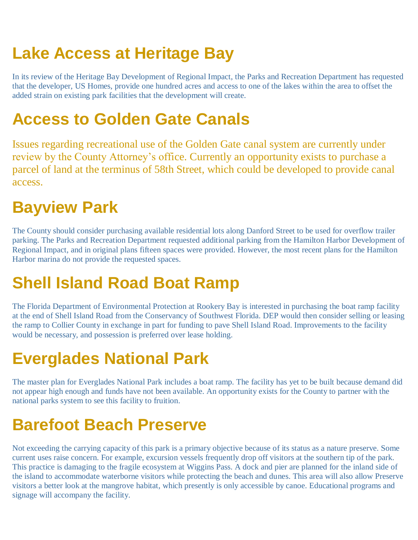# **Lake Access at Heritage Bay**

In its review of the Heritage Bay Development of Regional Impact, the Parks and Recreation Department has requested that the developer, US Homes, provide one hundred acres and access to one of the lakes within the area to offset the added strain on existing park facilities that the development will create.

## **Access to Golden Gate Canals**

Issues regarding recreational use of the Golden Gate canal system are currently under review by the County Attorney's office. Currently an opportunity exists to purchase a parcel of land at the terminus of 58th Street, which could be developed to provide canal access.

# **Bayview Park**

The County should consider purchasing available residential lots along Danford Street to be used for overflow trailer parking. The Parks and Recreation Department requested additional parking from the Hamilton Harbor Development of Regional Impact, and in original plans fifteen spaces were provided. However, the most recent plans for the Hamilton Harbor marina do not provide the requested spaces.

# **Shell Island Road Boat Ramp**

The Florida Department of Environmental Protection at Rookery Bay is interested in purchasing the boat ramp facility at the end of Shell Island Road from the Conservancy of Southwest Florida. DEP would then consider selling or leasing the ramp to Collier County in exchange in part for funding to pave Shell Island Road. Improvements to the facility would be necessary, and possession is preferred over lease holding.

# **Everglades National Park**

The master plan for Everglades National Park includes a boat ramp. The facility has yet to be built because demand did not appear high enough and funds have not been available. An opportunity exists for the County to partner with the national parks system to see this facility to fruition.

# **Barefoot Beach Preserve**

Not exceeding the carrying capacity of this park is a primary objective because of its status as a nature preserve. Some current uses raise concern. For example, excursion vessels frequently drop off visitors at the southern tip of the park. This practice is damaging to the fragile ecosystem at Wiggins Pass. A dock and pier are planned for the inland side of the island to accommodate waterborne visitors while protecting the beach and dunes. This area will also allow Preserve visitors a better look at the mangrove habitat, which presently is only accessible by canoe. Educational programs and signage will accompany the facility.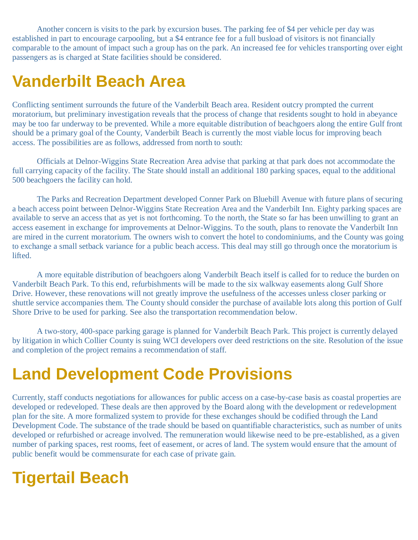Another concern is visits to the park by excursion buses. The parking fee of \$4 per vehicle per day was established in part to encourage carpooling, but a \$4 entrance fee for a full busload of visitors is not financially comparable to the amount of impact such a group has on the park. An increased fee for vehicles transporting over eight passengers as is charged at State facilities should be considered.

## **Vanderbilt Beach Area**

Conflicting sentiment surrounds the future of the Vanderbilt Beach area. Resident outcry prompted the current moratorium, but preliminary investigation reveals that the process of change that residents sought to hold in abeyance may be too far underway to be prevented. While a more equitable distribution of beachgoers along the entire Gulf front should be a primary goal of the County, Vanderbilt Beach is currently the most viable locus for improving beach access. The possibilities are as follows, addressed from north to south:

Officials at Delnor-Wiggins State Recreation Area advise that parking at that park does not accommodate the full carrying capacity of the facility. The State should install an additional 180 parking spaces, equal to the additional 500 beachgoers the facility can hold.

The Parks and Recreation Department developed Conner Park on Bluebill Avenue with future plans of securing a beach access point between Delnor-Wiggins State Recreation Area and the Vanderbilt Inn. Eighty parking spaces are available to serve an access that as yet is not forthcoming. To the north, the State so far has been unwilling to grant an access easement in exchange for improvements at Delnor-Wiggins. To the south, plans to renovate the Vanderbilt Inn are mired in the current moratorium. The owners wish to convert the hotel to condominiums, and the County was going to exchange a small setback variance for a public beach access. This deal may still go through once the moratorium is lifted.

A more equitable distribution of beachgoers along Vanderbilt Beach itself is called for to reduce the burden on Vanderbilt Beach Park. To this end, refurbishments will be made to the six walkway easements along Gulf Shore Drive. However, these renovations will not greatly improve the usefulness of the accesses unless closer parking or shuttle service accompanies them. The County should consider the purchase of available lots along this portion of Gulf Shore Drive to be used for parking. See also the transportation recommendation below.

A two-story, 400-space parking garage is planned for Vanderbilt Beach Park. This project is currently delayed by litigation in which Collier County is suing WCI developers over deed restrictions on the site. Resolution of the issue and completion of the project remains a recommendation of staff.

## **Land Development Code Provisions**

Currently, staff conducts negotiations for allowances for public access on a case-by-case basis as coastal properties are developed or redeveloped. These deals are then approved by the Board along with the development or redevelopment plan for the site. A more formalized system to provide for these exchanges should be codified through the Land Development Code. The substance of the trade should be based on quantifiable characteristics, such as number of units developed or refurbished or acreage involved. The remuneration would likewise need to be pre-established, as a given number of parking spaces, rest rooms, feet of easement, or acres of land. The system would ensure that the amount of public benefit would be commensurate for each case of private gain.

## **Tigertail Beach**